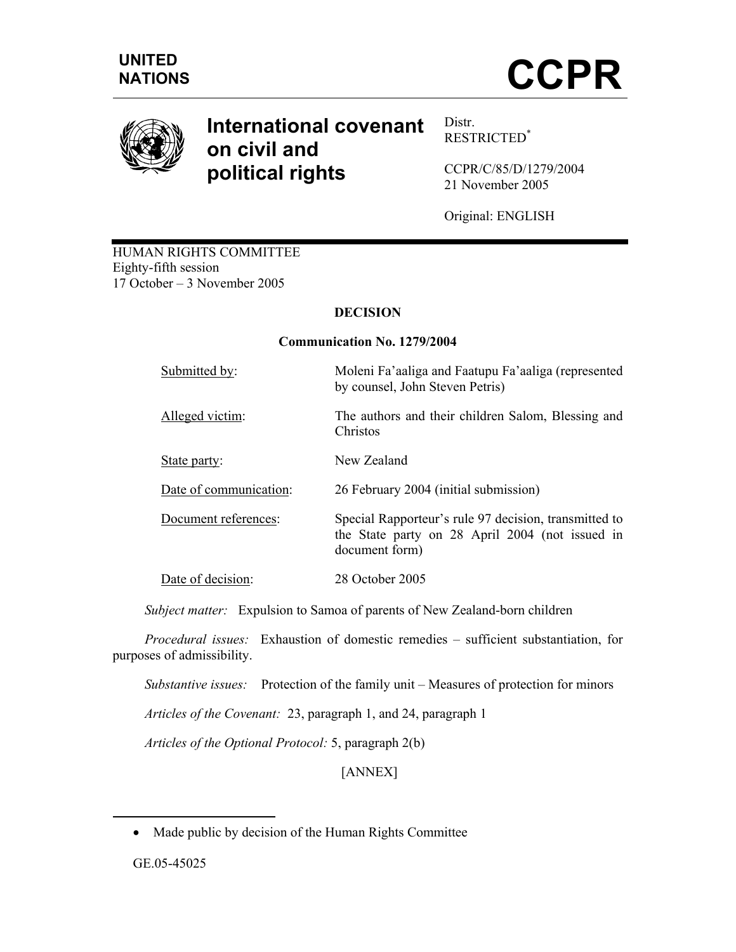

# **International covenant on civil and political rights**

Distr. RESTRICTED\*

CCPR/C/85/D/1279/2004 21 November 2005

Original: ENGLISH

HUMAN RIGHTS COMMITTEE Eighty-fifth session 17 October – 3 November 2005

# **DECISION**

## **Communication No. 1279/2004**

| Submitted by:          | Moleni Fa'aaliga and Faatupu Fa'aaliga (represented<br>by counsel, John Steven Petris)                                     |
|------------------------|----------------------------------------------------------------------------------------------------------------------------|
| Alleged victim:        | The authors and their children Salom, Blessing and<br>Christos                                                             |
| State party:           | New Zealand                                                                                                                |
| Date of communication: | 26 February 2004 (initial submission)                                                                                      |
| Document references:   | Special Rapporteur's rule 97 decision, transmitted to<br>the State party on 28 April 2004 (not issued in<br>document form) |
| Date of decision:      | 28 October 2005                                                                                                            |

 *Subject matter:* Expulsion to Samoa of parents of New Zealand-born children

 *Procedural issues:* Exhaustion of domestic remedies – sufficient substantiation, for purposes of admissibility.

*Substantive issues:* Protection of the family unit – Measures of protection for minors

 *Articles of the Covenant:* 23, paragraph 1, and 24, paragraph 1

 *Articles of the Optional Protocol:* 5, paragraph 2(b)

[ANNEX]

GE.05-45025

-

<sup>•</sup> Made public by decision of the Human Rights Committee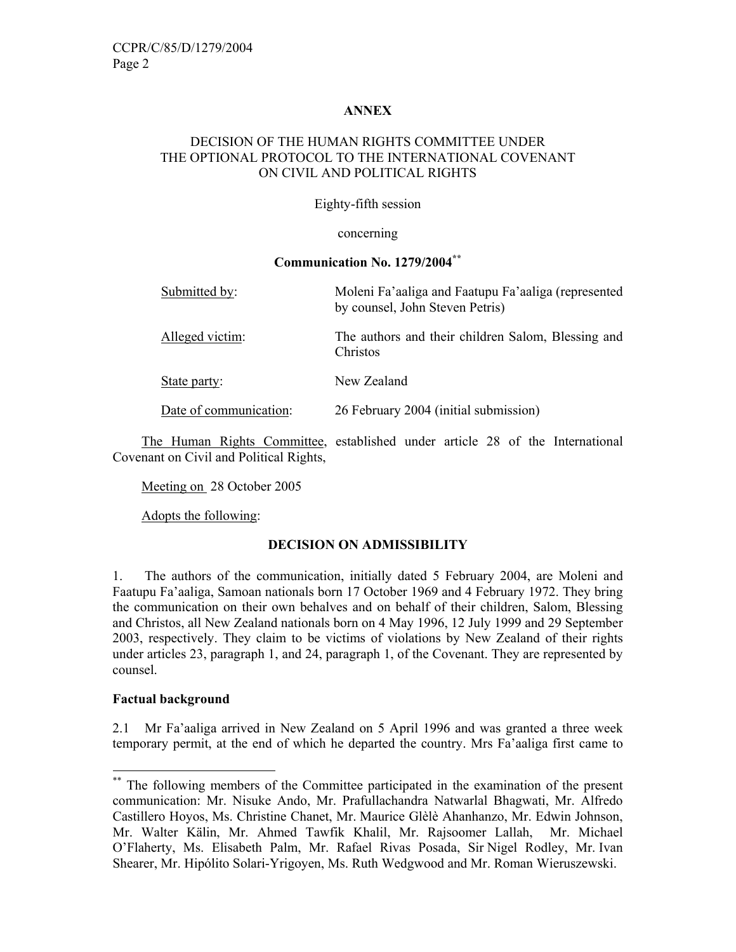## **ANNEX**

## DECISION OF THE HUMAN RIGHTS COMMITTEE UNDER THE OPTIONAL PROTOCOL TO THE INTERNATIONAL COVENANT ON CIVIL AND POLITICAL RIGHTS

## Eighty-fifth session

#### concerning

## **Communication No. 1279/2004\*\***

| Submitted by:          | Moleni Fa'aaliga and Faatupu Fa'aaliga (represented<br>by counsel, John Steven Petris) |
|------------------------|----------------------------------------------------------------------------------------|
| Alleged victim:        | The authors and their children Salom, Blessing and<br>Christos                         |
| State party:           | New Zealand                                                                            |
| Date of communication: | 26 February 2004 (initial submission)                                                  |

 The Human Rights Committee, established under article 28 of the International Covenant on Civil and Political Rights,

Meeting on 28 October 2005

Adopts the following:

# **DECISION ON ADMISSIBILITY**

1. The authors of the communication, initially dated 5 February 2004, are Moleni and Faatupu Fa'aaliga, Samoan nationals born 17 October 1969 and 4 February 1972. They bring the communication on their own behalves and on behalf of their children, Salom, Blessing and Christos, all New Zealand nationals born on 4 May 1996, 12 July 1999 and 29 September 2003, respectively. They claim to be victims of violations by New Zealand of their rights under articles 23, paragraph 1, and 24, paragraph 1, of the Covenant. They are represented by counsel.

## **Factual background**

-

2.1 Mr Fa'aaliga arrived in New Zealand on 5 April 1996 and was granted a three week temporary permit, at the end of which he departed the country. Mrs Fa'aaliga first came to

<sup>\*\*</sup> The following members of the Committee participated in the examination of the present communication: Mr. Nisuke Ando, Mr. Prafullachandra Natwarlal Bhagwati, Mr. Alfredo Castillero Hoyos, Ms. Christine Chanet, Mr. Maurice Glèlè Ahanhanzo, Mr. Edwin Johnson, Mr. Walter Kälin, Mr. Ahmed Tawfik Khalil, Mr. Rajsoomer Lallah, Mr. Michael O'Flaherty, Ms. Elisabeth Palm, Mr. Rafael Rivas Posada, Sir Nigel Rodley, Mr. Ivan Shearer, Mr. Hipólito Solari-Yrigoyen, Ms. Ruth Wedgwood and Mr. Roman Wieruszewski.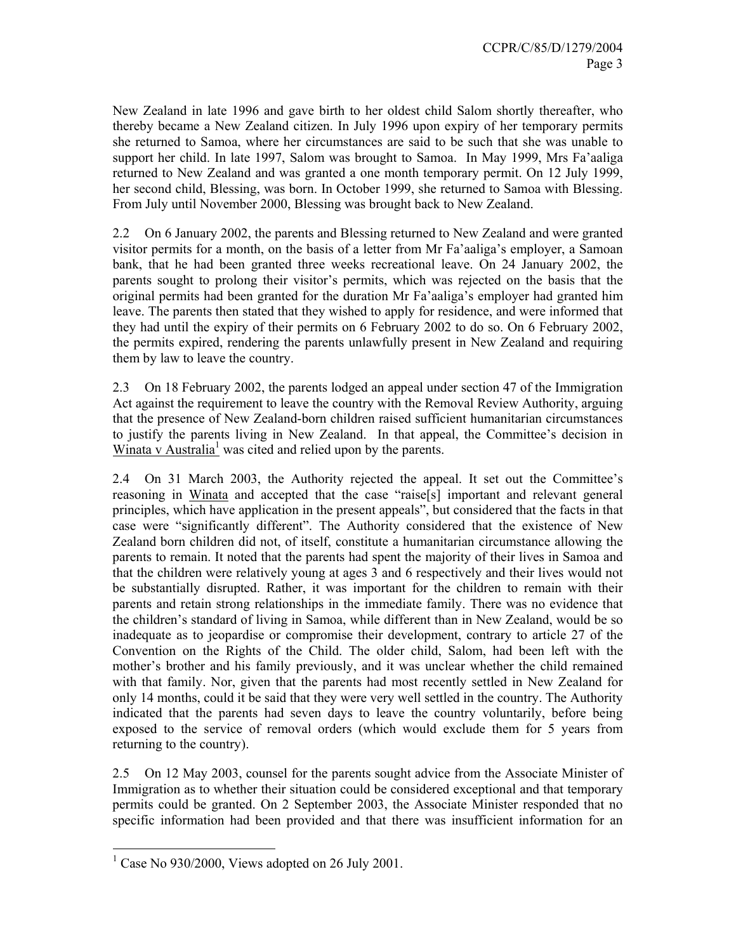New Zealand in late 1996 and gave birth to her oldest child Salom shortly thereafter, who thereby became a New Zealand citizen. In July 1996 upon expiry of her temporary permits she returned to Samoa, where her circumstances are said to be such that she was unable to support her child. In late 1997, Salom was brought to Samoa. In May 1999, Mrs Fa'aaliga returned to New Zealand and was granted a one month temporary permit. On 12 July 1999, her second child, Blessing, was born. In October 1999, she returned to Samoa with Blessing. From July until November 2000, Blessing was brought back to New Zealand.

2.2 On 6 January 2002, the parents and Blessing returned to New Zealand and were granted visitor permits for a month, on the basis of a letter from Mr Fa'aaliga's employer, a Samoan bank, that he had been granted three weeks recreational leave. On 24 January 2002, the parents sought to prolong their visitor's permits, which was rejected on the basis that the original permits had been granted for the duration Mr Fa'aaliga's employer had granted him leave. The parents then stated that they wished to apply for residence, and were informed that they had until the expiry of their permits on 6 February 2002 to do so. On 6 February 2002, the permits expired, rendering the parents unlawfully present in New Zealand and requiring them by law to leave the country.

2.3 On 18 February 2002, the parents lodged an appeal under section 47 of the Immigration Act against the requirement to leave the country with the Removal Review Authority, arguing that the presence of New Zealand-born children raised sufficient humanitarian circumstances to justify the parents living in New Zealand. In that appeal, the Committee's decision in Winata v Australia<sup>1</sup> was cited and relied upon by the parents.

2.4 On 31 March 2003, the Authority rejected the appeal. It set out the Committee's reasoning in Winata and accepted that the case "raise[s] important and relevant general principles, which have application in the present appeals", but considered that the facts in that case were "significantly different". The Authority considered that the existence of New Zealand born children did not, of itself, constitute a humanitarian circumstance allowing the parents to remain. It noted that the parents had spent the majority of their lives in Samoa and that the children were relatively young at ages 3 and 6 respectively and their lives would not be substantially disrupted. Rather, it was important for the children to remain with their parents and retain strong relationships in the immediate family. There was no evidence that the children's standard of living in Samoa, while different than in New Zealand, would be so inadequate as to jeopardise or compromise their development, contrary to article 27 of the Convention on the Rights of the Child. The older child, Salom, had been left with the mother's brother and his family previously, and it was unclear whether the child remained with that family. Nor, given that the parents had most recently settled in New Zealand for only 14 months, could it be said that they were very well settled in the country. The Authority indicated that the parents had seven days to leave the country voluntarily, before being exposed to the service of removal orders (which would exclude them for 5 years from returning to the country).

2.5 On 12 May 2003, counsel for the parents sought advice from the Associate Minister of Immigration as to whether their situation could be considered exceptional and that temporary permits could be granted. On 2 September 2003, the Associate Minister responded that no specific information had been provided and that there was insufficient information for an

<sup>&</sup>lt;sup>1</sup> Case No 930/2000, Views adopted on 26 July 2001.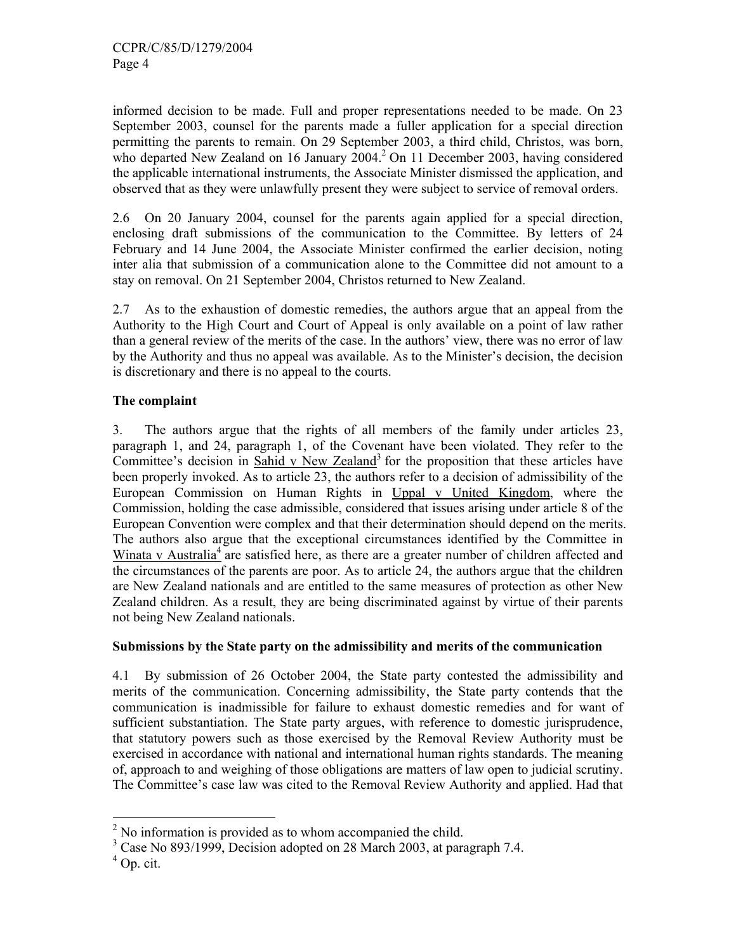informed decision to be made. Full and proper representations needed to be made. On 23 September 2003, counsel for the parents made a fuller application for a special direction permitting the parents to remain. On 29 September 2003, a third child, Christos, was born, who departed New Zealand on 16 January  $2004<sup>2</sup>$  On 11 December 2003, having considered the applicable international instruments, the Associate Minister dismissed the application, and observed that as they were unlawfully present they were subject to service of removal orders.

2.6 On 20 January 2004, counsel for the parents again applied for a special direction, enclosing draft submissions of the communication to the Committee. By letters of 24 February and 14 June 2004, the Associate Minister confirmed the earlier decision, noting inter alia that submission of a communication alone to the Committee did not amount to a stay on removal. On 21 September 2004, Christos returned to New Zealand.

2.7 As to the exhaustion of domestic remedies, the authors argue that an appeal from the Authority to the High Court and Court of Appeal is only available on a point of law rather than a general review of the merits of the case. In the authors' view, there was no error of law by the Authority and thus no appeal was available. As to the Minister's decision, the decision is discretionary and there is no appeal to the courts.

# **The complaint**

3. The authors argue that the rights of all members of the family under articles 23, paragraph 1, and 24, paragraph 1, of the Covenant have been violated. They refer to the Committee's decision in Sahid v New Zealand<sup>3</sup> for the proposition that these articles have been properly invoked. As to article 23, the authors refer to a decision of admissibility of the European Commission on Human Rights in Uppal v United Kingdom, where the Commission, holding the case admissible, considered that issues arising under article 8 of the European Convention were complex and that their determination should depend on the merits. The authors also argue that the exceptional circumstances identified by the Committee in Winata v Australia<sup>4</sup> are satisfied here, as there are a greater number of children affected and the circumstances of the parents are poor. As to article 24, the authors argue that the children are New Zealand nationals and are entitled to the same measures of protection as other New Zealand children. As a result, they are being discriminated against by virtue of their parents not being New Zealand nationals.

# **Submissions by the State party on the admissibility and merits of the communication**

4.1 By submission of 26 October 2004, the State party contested the admissibility and merits of the communication. Concerning admissibility, the State party contends that the communication is inadmissible for failure to exhaust domestic remedies and for want of sufficient substantiation. The State party argues, with reference to domestic jurisprudence, that statutory powers such as those exercised by the Removal Review Authority must be exercised in accordance with national and international human rights standards. The meaning of, approach to and weighing of those obligations are matters of law open to judicial scrutiny. The Committee's case law was cited to the Removal Review Authority and applied. Had that

<sup>&</sup>lt;sup>2</sup> No information is provided as to whom accompanied the child.

<sup>&</sup>lt;sup>3</sup> Case No 893/1999, Decision adopted on 28 March 2003, at paragraph 7.4.

 $<sup>4</sup>$  Op. cit.</sup>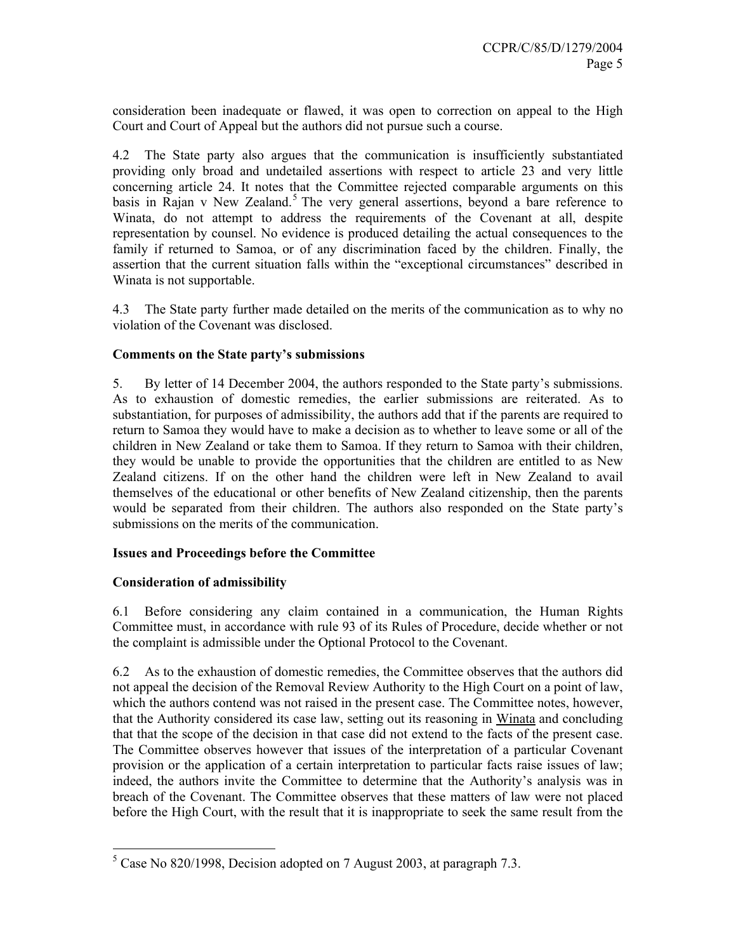consideration been inadequate or flawed, it was open to correction on appeal to the High Court and Court of Appeal but the authors did not pursue such a course.

4.2 The State party also argues that the communication is insufficiently substantiated providing only broad and undetailed assertions with respect to article 23 and very little concerning article 24. It notes that the Committee rejected comparable arguments on this basis in Rajan v New Zealand.<sup>5</sup> The very general assertions, beyond a bare reference to Winata, do not attempt to address the requirements of the Covenant at all, despite representation by counsel. No evidence is produced detailing the actual consequences to the family if returned to Samoa, or of any discrimination faced by the children. Finally, the assertion that the current situation falls within the "exceptional circumstances" described in Winata is not supportable.

4.3 The State party further made detailed on the merits of the communication as to why no violation of the Covenant was disclosed.

## **Comments on the State party's submissions**

5. By letter of 14 December 2004, the authors responded to the State party's submissions. As to exhaustion of domestic remedies, the earlier submissions are reiterated. As to substantiation, for purposes of admissibility, the authors add that if the parents are required to return to Samoa they would have to make a decision as to whether to leave some or all of the children in New Zealand or take them to Samoa. If they return to Samoa with their children, they would be unable to provide the opportunities that the children are entitled to as New Zealand citizens. If on the other hand the children were left in New Zealand to avail themselves of the educational or other benefits of New Zealand citizenship, then the parents would be separated from their children. The authors also responded on the State party's submissions on the merits of the communication.

## **Issues and Proceedings before the Committee**

## **Consideration of admissibility**

6.1 Before considering any claim contained in a communication, the Human Rights Committee must, in accordance with rule 93 of its Rules of Procedure, decide whether or not the complaint is admissible under the Optional Protocol to the Covenant.

6.2 As to the exhaustion of domestic remedies, the Committee observes that the authors did not appeal the decision of the Removal Review Authority to the High Court on a point of law, which the authors contend was not raised in the present case. The Committee notes, however, that the Authority considered its case law, setting out its reasoning in Winata and concluding that that the scope of the decision in that case did not extend to the facts of the present case. The Committee observes however that issues of the interpretation of a particular Covenant provision or the application of a certain interpretation to particular facts raise issues of law; indeed, the authors invite the Committee to determine that the Authority's analysis was in breach of the Covenant. The Committee observes that these matters of law were not placed before the High Court, with the result that it is inappropriate to seek the same result from the

 $\frac{1}{5}$  Case No 820/1998, Decision adopted on 7 August 2003, at paragraph 7.3.